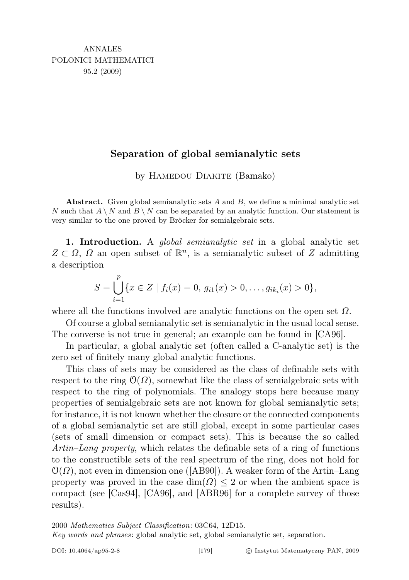## Separation of global semianalytic sets

by HAMEDOU DIAKITE (Bamako)

Abstract. Given global semianalytic sets  $A$  and  $B$ , we define a minimal analytic set N such that  $\overline{A} \setminus N$  and  $\overline{B} \setminus N$  can be separated by an analytic function. Our statement is very similar to the one proved by Bröcker for semialgebraic sets.

1. Introduction. A *global semianalytic set* in a global analytic set  $Z \subset \Omega$ ,  $\Omega$  an open subset of  $\mathbb{R}^n$ , is a semianalytic subset of Z admitting a description

$$
S = \bigcup_{i=1}^{p} \{x \in Z \mid f_i(x) = 0, \, g_{i1}(x) > 0, \ldots, g_{ik_i}(x) > 0\},\,
$$

where all the functions involved are analytic functions on the open set  $\Omega$ .

Of course a global semianalytic set is semianalytic in the usual local sense. The converse is not true in general; an example can be found in [CA96].

In particular, a global analytic set (often called a C-analytic set) is the zero set of finitely many global analytic functions.

This class of sets may be considered as the class of definable sets with respect to the ring  $\mathcal{O}(\Omega)$ , somewhat like the class of semialgebraic sets with respect to the ring of polynomials. The analogy stops here because many properties of semialgebraic sets are not known for global semianalytic sets; for instance, it is not known whether the closure or the connected components of a global semianalytic set are still global, except in some particular cases (sets of small dimension or compact sets). This is because the so called Artin–Lang property, which relates the definable sets of a ring of functions to the constructible sets of the real spectrum of the ring, does not hold for  $\mathcal{O}(\Omega)$ , not even in dimension one ([AB90]). A weaker form of the Artin–Lang property was proved in the case  $\dim(\Omega) \leq 2$  or when the ambient space is compact (see [Cas94], [CA96], and [ABR96] for a complete survey of those results).

<sup>2000</sup> Mathematics Subject Classification: 03C64, 12D15.

Key words and phrases: global analytic set, global semianalytic set, separation.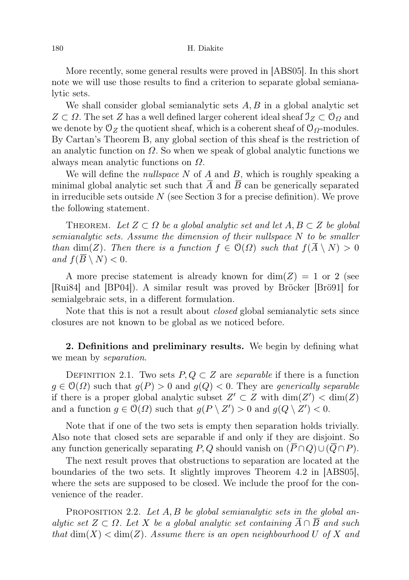More recently, some general results were proved in [ABS05]. In this short note we will use those results to find a criterion to separate global semianalytic sets.

We shall consider global semianalytic sets  $A, B$  in a global analytic set  $Z \subset \Omega$ . The set Z has a well defined larger coherent ideal sheaf  $\mathcal{I}_Z \subset \mathcal{O}_{\Omega}$  and we denote by  $\mathcal{O}_Z$  the quotient sheaf, which is a coherent sheaf of  $\mathcal{O}_Q$ -modules. By Cartan's Theorem B, any global section of this sheaf is the restriction of an analytic function on  $\Omega$ . So when we speak of global analytic functions we always mean analytic functions on  $\Omega$ .

We will define the *nullspace*  $N$  of  $A$  and  $B$ , which is roughly speaking a minimal global analytic set such that  $\overline{A}$  and  $\overline{B}$  can be generically separated in irreducible sets outside  $N$  (see Section 3 for a precise definition). We prove the following statement.

THEOREM. Let  $Z \subset \Omega$  be a global analytic set and let  $A, B \subset Z$  be global semianalytic sets. Assume the dimension of their nullspace N to be smaller than dim(Z). Then there is a function  $f \in \mathcal{O}(\Omega)$  such that  $f(\overline{A} \setminus N) > 0$ and  $f(\overline{B} \setminus N) < 0$ .

A more precise statement is already known for  $\dim(Z) = 1$  or 2 (see [Rui84] and [BP04]). A similar result was proved by Bröcker [Brö91] for semialgebraic sets, in a different formulation.

Note that this is not a result about closed global semianalytic sets since closures are not known to be global as we noticed before.

2. Definitions and preliminary results. We begin by defining what we mean by *separation*.

DEFINITION 2.1. Two sets  $P, Q \subset Z$  are *separable* if there is a function  $g \in \mathcal{O}(\Omega)$  such that  $g(P) > 0$  and  $g(Q) < 0$ . They are *generically separable* if there is a proper global analytic subset  $Z' \subset Z$  with  $\dim(Z') < \dim(Z)$ and a function  $g \in \mathcal{O}(\Omega)$  such that  $g(P \setminus Z') > 0$  and  $g(Q \setminus Z') < 0$ .

Note that if one of the two sets is empty then separation holds trivially. Also note that closed sets are separable if and only if they are disjoint. So any function generically separating P, Q should vanish on  $(P \cap Q) \cup (Q \cap P)$ .

The next result proves that obstructions to separation are located at the boundaries of the two sets. It slightly improves Theorem 4.2 in [ABS05], where the sets are supposed to be closed. We include the proof for the convenience of the reader.

PROPOSITION 2.2. Let  $A, B$  be global semianalytic sets in the global analytic set  $Z \subset \Omega$ . Let X be a global analytic set containing  $A \cap B$  and such that  $\dim(X) < \dim(Z)$ . Assume there is an open neighbourhood U of X and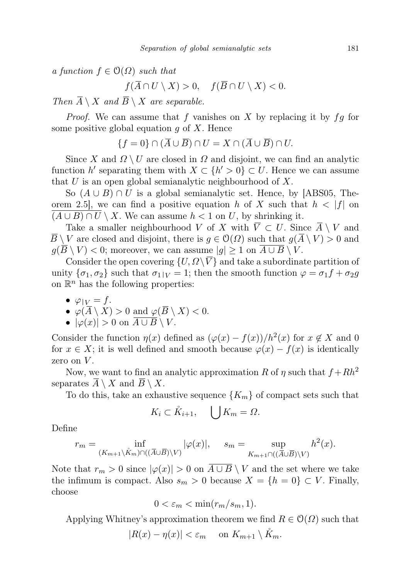a function  $f \in \mathcal{O}(\Omega)$  such that

 $f(\overline{A} \cap U \setminus X) > 0$ ,  $f(\overline{B} \cap U \setminus X) < 0$ .

Then  $\overline{A} \setminus X$  and  $\overline{B} \setminus X$  are separable.

*Proof.* We can assume that f vanishes on X by replacing it by  $fg$  for some positive global equation  $g$  of  $X$ . Hence

$$
\{f=0\} \cap (\overline{A} \cup \overline{B}) \cap U = X \cap (\overline{A} \cup \overline{B}) \cap U.
$$

Since X and  $\Omega \setminus U$  are closed in  $\Omega$  and disjoint, we can find an analytic function h' separating them with  $X \subset \{h' > 0\} \subset U$ . Hence we can assume that  $U$  is an open global semianalytic neighbourhood of  $X$ .

So  $(A \cup B) \cap U$  is a global semianalytic set. Hence, by [ABS05, Theorem 2.5, we can find a positive equation h of X such that  $h < |f|$  on  $(A \cup B) \cap U \setminus X$ . We can assume  $h < 1$  on U, by shrinking it.

Take a smaller neighbourhood V of X with  $V \subset U$ . Since  $A \setminus V$  and  $\overline{B} \setminus V$  are closed and disjoint, there is  $g \in \mathcal{O}(\Omega)$  such that  $g(\overline{A} \setminus V) > 0$  and  $g(\overline{B} \setminus V) < 0$ ; moreover, we can assume  $|g| \geq 1$  on  $\overline{A \cup B} \setminus V$ .

Consider the open covering  $\{U, \Omega \setminus \overline{V} \}$  and take a subordinate partition of unity  $\{\sigma_1, \sigma_2\}$  such that  $\sigma_1|_V = 1$ ; then the smooth function  $\varphi = \sigma_1 f + \sigma_2 g$ on  $\mathbb{R}^n$  has the following properties:

 $\bullet \varphi|_V = f.$ 

• 
$$
\varphi(\overline{A}\setminus X) > 0
$$
 and  $\varphi(\overline{B}\setminus X) < 0$ .

•  $|\varphi(x)| > 0$  on  $\overline{A \cup B} \setminus V$ .

Consider the function  $\eta(x)$  defined as  $(\varphi(x) - f(x))/h^2(x)$  for  $x \notin X$  and 0 for  $x \in X$ ; it is well defined and smooth because  $\varphi(x) - f(x)$  is identically zero on  $V$ .

Now, we want to find an analytic approximation R of  $\eta$  such that  $f + Rh^2$ separates  $A \setminus X$  and  $B \setminus X$ .

To do this, take an exhaustive sequence  $\{K_m\}$  of compact sets such that

$$
K_i \subset \mathring{K}_{i+1}, \quad \bigcup K_m = \Omega.
$$

Define

$$
r_m = \inf_{(K_{m+1} \setminus \mathring{K}_m) \cap ((\overline{A} \cup \overline{B}) \setminus V)} |\varphi(x)|, \quad s_m = \sup_{K_{m+1} \cap ((\overline{A} \cup \overline{B}) \setminus V)} h^2(x).
$$

Note that  $r_m > 0$  since  $|\varphi(x)| > 0$  on  $\overline{A \cup B} \setminus V$  and the set where we take the infimum is compact. Also  $s_m > 0$  because  $X = \{h = 0\} \subset V$ . Finally, choose

$$
0 < \varepsilon_m < \min(r_m/s_m, 1).
$$

Applying Whitney's approximation theorem we find  $R \in \mathcal{O}(\Omega)$  such that

 $|R(x) - \eta(x)| < \varepsilon_m$  on  $K_{m+1} \setminus \mathring{K}_m$ .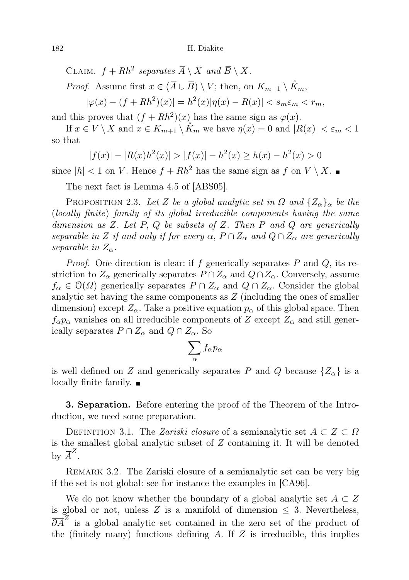182 H. Diakite

CLAIM.  $f + Rh^2$  separates  $\overline{A} \setminus X$  and  $\overline{B} \setminus X$ .

*Proof.* Assume first  $x \in (\overline{A} \cup \overline{B}) \setminus V$ ; then, on  $K_{m+1} \setminus \mathring{K}_m$ .

 $|\varphi(x) - (f + Rh^2)(x)| = h^2(x)|\eta(x) - R(x)| < s_m \varepsilon_m < r_m,$ 

and this proves that  $(f + Rh^2)(x)$  has the same sign as  $\varphi(x)$ .

If  $x \in V \setminus X$  and  $x \in K_{m+1} \setminus K_m$  we have  $\eta(x) = 0$  and  $|R(x)| < \varepsilon_m < 1$ so that

$$
|f(x)| - |R(x)h^{2}(x)| > |f(x)| - h^{2}(x) \ge h(x) - h^{2}(x) > 0
$$

since  $|h| < 1$  on V. Hence  $f + Rh^2$  has the same sign as f on  $V \setminus X$ .

The next fact is Lemma 4.5 of [ABS05].

PROPOSITION 2.3. Let Z be a global analytic set in  $\Omega$  and  $\{Z_{\alpha}\}_\alpha$  be the (locally finite) family of its global irreducible components having the same dimension as  $Z$ . Let  $P$ ,  $Q$  be subsets of  $Z$ . Then  $P$  and  $Q$  are generically separable in Z if and only if for every  $\alpha$ ,  $P \cap Z_\alpha$  and  $Q \cap Z_\alpha$  are generically separable in  $Z_{\alpha}$ .

*Proof.* One direction is clear: if f generically separates  $P$  and  $Q$ , its restriction to  $Z_{\alpha}$  generically separates  $P \cap Z_{\alpha}$  and  $Q \cap Z_{\alpha}$ . Conversely, assume  $f_{\alpha} \in \mathcal{O}(\Omega)$  generically separates  $P \cap Z_{\alpha}$  and  $Q \cap Z_{\alpha}$ . Consider the global analytic set having the same components as Z (including the ones of smaller dimension) except  $Z_{\alpha}$ . Take a positive equation  $p_{\alpha}$  of this global space. Then  $f_{\alpha}p_{\alpha}$  vanishes on all irreducible components of Z except  $Z_{\alpha}$  and still generically separates  $P \cap Z_\alpha$  and  $Q \cap Z_\alpha$ . So

$$
\sum_{\alpha} f_{\alpha} p_{\alpha}
$$

is well defined on Z and generically separates P and Q because  $\{Z_{\alpha}\}\$ is a locally finite family.

3. Separation. Before entering the proof of the Theorem of the Introduction, we need some preparation.

DEFINITION 3.1. The *Zariski closure* of a semianalytic set  $A \subset Z \subset \Omega$ is the smallest global analytic subset of Z containing it. It will be denoted by  $\overline{A}^Z$ .

Remark 3.2. The Zariski closure of a semianalytic set can be very big if the set is not global: see for instance the examples in [CA96].

We do not know whether the boundary of a global analytic set  $A \subset Z$ is global or not, unless  $Z$  is a manifold of dimension  $\leq$  3. Nevertheless,  $\overline{\partial A}^Z$  is a global analytic set contained in the zero set of the product of the (finitely many) functions defining  $A$ . If  $Z$  is irreducible, this implies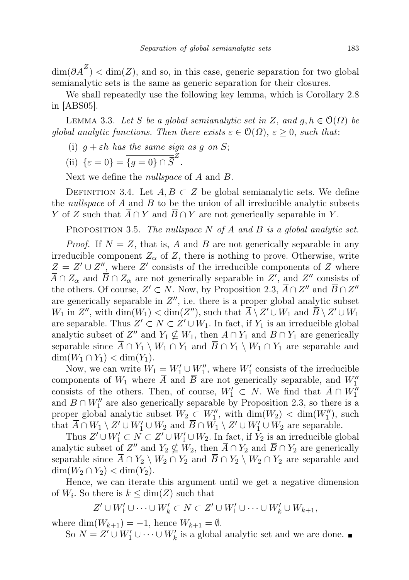$\dim(\overline{\partial A}^Z) < \dim(Z)$ , and so, in this case, generic separation for two global semianalytic sets is the same as generic separation for their closures.

We shall repeatedly use the following key lemma, which is Corollary 2.8 in [ABS05].

LEMMA 3.3. Let S be a global semianalytic set in Z, and  $g, h \in \mathcal{O}(\Omega)$  be global analytic functions. Then there exists  $\varepsilon \in \mathcal{O}(\Omega)$ ,  $\varepsilon \geq 0$ , such that:

(i)  $g + \varepsilon h$  has the same sign as g on S;

(ii) 
$$
\{\varepsilon = 0\} = \overline{\{g = 0\} \cap \overline{S}}^Z.
$$

Next we define the *nullspace* of A and B.

DEFINITION 3.4. Let  $A, B \subset Z$  be global semianalytic sets. We define the *nullspace* of  $A$  and  $B$  to be the union of all irreducible analytic subsets Y of Z such that  $A \cap Y$  and  $B \cap Y$  are not generically separable in Y.

PROPOSITION 3.5. The nullspace  $N$  of  $A$  and  $B$  is a global analytic set.

*Proof.* If  $N = Z$ , that is, A and B are not generically separable in any irreducible component  $Z_{\alpha}$  of Z, there is nothing to prove. Otherwise, write  $Z = Z' \cup Z''$ , where Z' consists of the irreducible components of Z where  $\overline{A} \cap Z_{\alpha}$  and  $\overline{B} \cap Z_{\alpha}$  are not generically separable in  $Z'$ , and  $Z''$  consists of the others. Of course,  $Z' \subset N$ . Now, by Proposition 2.3,  $\overline{A} \cap Z''$  and  $\overline{B} \cap Z''$ are generically separable in  $Z''$ , i.e. there is a proper global analytic subset  $W_1$  in  $Z''$ , with  $\dim(W_1) < \dim(Z'')$ , such that  $\overline{A} \setminus Z' \cup W_1$  and  $\overline{B} \setminus Z' \cup W_1$ are separable. Thus  $Z' \subset N \subset Z' \cup W_1$ . In fact, if  $Y_1$  is an irreducible global analytic subset of  $Z''$  and  $Y_1 \nsubseteq W_1$ , then  $\overline{A} \cap Y_1$  and  $\overline{B} \cap Y_1$  are generically separable since  $\overline{A} \cap Y_1 \setminus W_1 \cap Y_1$  and  $\overline{B} \cap Y_1 \setminus W_1 \cap Y_1$  are separable and  $\dim(W_1 \cap Y_1) < \dim(Y_1).$ 

Now, we can write  $W_1 = W_1' \cup W_1''$ , where  $W_1'$  consists of the irreducible components of  $W_1$  where  $\overline{A}$  and  $\overline{B}$  are not generically separable, and  $W_1''$ consists of the others. Then, of course,  $W'_1 \subset N$ . We find that  $\overline{A} \cap W''_1$ and  $\overline{B} \cap W''_1$  are also generically separable by Proposition 2.3, so there is a proper global analytic subset  $W_2 \_ W''_1$ , with  $\dim(W_2) < \dim(W''_1)$ , such that  $\overline{A} \cap W_1 \setminus Z' \cup W'_1 \cup W_2$  and  $\overline{B} \cap W_1 \setminus Z' \cup W'_1 \cup W_2$  are separable.

Thus  $Z' \cup W'_1 \subset N \subset Z' \cup W'_1 \cup W_2$ . In fact, if  $Y_2$  is an irreducible global analytic subset of  $Z''$  and  $Y_2 \nsubseteq W_2$ , then  $\overline{A} \cap Y_2$  and  $\overline{B} \cap Y_2$  are generically separable since  $\overline{A} \cap Y_2 \setminus W_2 \cap Y_2$  and  $\overline{B} \cap Y_2 \setminus W_2 \cap Y_2$  are separable and  $\dim(W_2 \cap Y_2) < \dim(Y_2)$ .

Hence, we can iterate this argument until we get a negative dimension of  $W_i$ . So there is  $k \leq \dim(Z)$  such that

$$
Z'\cup W_1'\cup \cdots \cup W_k'\subset N\subset Z'\cup W_1'\cup \cdots \cup W_k'\cup W_{k+1},
$$

where  $\dim(W_{k+1}) = -1$ , hence  $W_{k+1} = \emptyset$ .

So  $N = Z' \cup W'_1 \cup \cdots \cup W'_k$  is a global analytic set and we are done.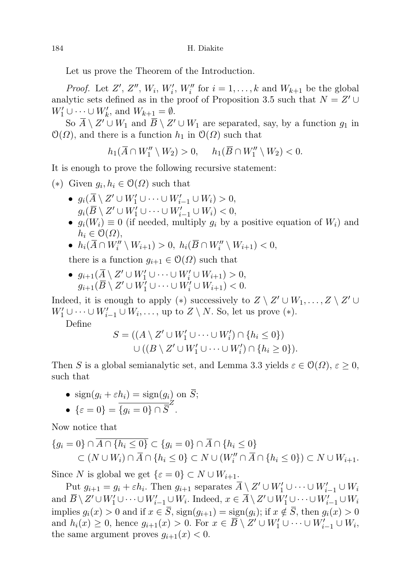Let us prove the Theorem of the Introduction.

*Proof.* Let  $Z'$ ,  $Z''$ ,  $W_i$ ,  $W_i'$ ,  $W_i''$  for  $i = 1, ..., k$  and  $W_{k+1}$  be the global analytic sets defined as in the proof of Proposition 3.5 such that  $N = Z' \cup$  $W'_1 \cup \cdots \cup W'_k$ , and  $W_{k+1} = \emptyset$ .

So  $\overline{A} \setminus Z' \cup W_1$  and  $\overline{B} \setminus Z' \cup W_1$  are separated, say, by a function  $g_1$  in  $\mathcal{O}(\Omega)$ , and there is a function  $h_1$  in  $\mathcal{O}(\Omega)$  such that

 $h_1(\overline{A} \cap W_1'' \setminus W_2) > 0, \quad h_1(\overline{B} \cap W_1'' \setminus W_2) < 0.$ 

It is enough to prove the following recursive statement:

(\*) Given  $g_i, h_i \in \mathcal{O}(\Omega)$  such that

- $g_i(\overline{A}\setminus Z'\cup W'_1\cup\cdots\cup W'_{i-1}\cup W_i)>0,$  $g_i(\overline{B}\setminus Z'\cup W'_1\cup\cdots\cup W'_{i-1}\cup W_i)<0,$
- $g_i(W_i) \equiv 0$  (if needed, multiply  $g_i$  by a positive equation of  $W_i$ ) and  $h_i \in \mathcal{O}(\Omega),$
- $h_i(\overline{A} \cap W''_i \setminus W_{i+1}) > 0$ ,  $h_i(\overline{B} \cap W''_i \setminus W_{i+1}) < 0$ ,

there is a function  $g_{i+1} \in \mathcal{O}(\Omega)$  such that

•  $g_{i+1}(\overline{A} \setminus Z' \cup W'_1 \cup \cdots \cup W'_i \cup W_{i+1}) > 0$ ,  $g_{i+1}(\overline{B}\setminus Z'\cup W_1'\cup\cdots\cup W_i'\cup W_{i+1})<0.$ 

Indeed, it is enough to apply (\*) successively to  $Z \setminus Z' \cup W_1, \ldots, Z \setminus Z' \cup$  $W'_1 \cup \cdots \cup W'_{i-1} \cup W_i, \ldots$ , up to  $Z \setminus N$ . So, let us prove (\*).

Define

$$
= ((A \setminus Z' \cup W'_1 \cup \cdots \cup W'_i) \cap \{h_i \leq 0\})
$$
  
 
$$
\cup ((B \setminus Z' \cup W'_1 \cup \cdots \cup W'_i) \cap \{h_i \geq 0\}).
$$

Then S is a global semianalytic set, and Lemma 3.3 yields  $\varepsilon \in \mathcal{O}(\Omega)$ ,  $\varepsilon \geq 0$ , such that

• 
$$
\text{sign}(g_i + \varepsilon h_i) = \text{sign}(g_i) \text{ on } \overline{S};
$$

• 
$$
\{\varepsilon = 0\} = \overline{\{g_i = 0\} \cap \overline{S}}^Z.
$$

 $S$ 

Now notice that

$$
\{g_i = 0\} \cap \overline{A \cap \{h_i \le 0\}} \subset \{g_i = 0\} \cap \overline{A} \cap \{h_i \le 0\}
$$
  

$$
\subset (N \cup W_i) \cap \overline{A} \cap \{h_i \le 0\} \subset N \cup (W_i'' \cap \overline{A} \cap \{h_i \le 0\}) \subset N \cup W_{i+1}.
$$

Since N is global we get  $\{\varepsilon = 0\} \subset N \cup W_{i+1}.$ 

Put  $g_{i+1} = g_i + \varepsilon h_i$ . Then  $g_{i+1}$  separates  $\overline{A} \setminus Z' \cup W'_1 \cup \cdots \cup W'_{i-1} \cup W_i$ and  $\overline{B} \setminus Z' \cup W'_1 \cup \cdots \cup W'_{i-1} \cup W_i$ . Indeed,  $x \in \overline{A} \setminus Z' \cup W'_1 \cup \cdots \cup W'_{i-1} \cup W_i$ implies  $g_i(x) > 0$  and if  $x \in \overline{S}$ ,  $sign(g_{i+1}) = sign(g_i)$ ; if  $x \notin \overline{S}$ , then  $g_i(x) > 0$ and  $h_i(x) \geq 0$ , hence  $g_{i+1}(x) > 0$ . For  $x \in \overline{B} \setminus Z' \cup W'_1 \cup \cdots \cup W'_{i-1} \cup W_i$ , the same argument proves  $g_{i+1}(x) < 0$ .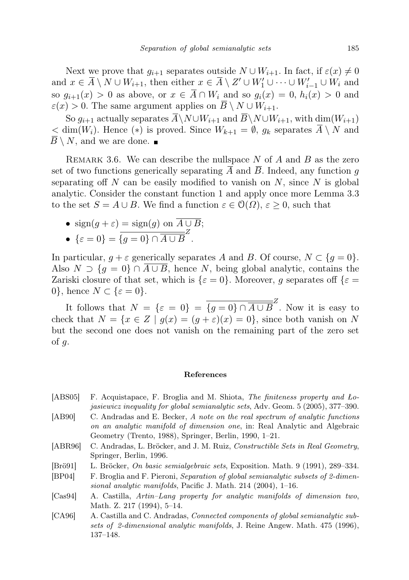Next we prove that  $g_{i+1}$  separates outside  $N \cup W_{i+1}$ . In fact, if  $\varepsilon(x) \neq 0$ and  $x \in \overline{A} \setminus N \cup W_{i+1}$ , then either  $x \in \overline{A} \setminus Z' \cup W'_1 \cup \cdots \cup W'_{i-1} \cup W_i$  and so  $g_{i+1}(x) > 0$  as above, or  $x \in \overline{A} \cap W_i$  and so  $g_i(x) = 0$ ,  $h_i(x) > 0$  and  $\varepsilon(x) > 0$ . The same argument applies on  $\overline{B} \setminus N \cup W_{i+1}$ .

So  $g_{i+1}$  actually separates  $\overline{A}\setminus N\cup W_{i+1}$  and  $\overline{B}\setminus N\cup W_{i+1}$ , with  $\dim(W_{i+1})$  $\langle \dim(W_i) \rangle$ . Hence  $(*)$  is proved. Since  $W_{k+1} = \emptyset$ ,  $g_k$  separates  $\overline{A} \setminus N$  and  $\overline{B} \setminus N$ , and we are done.

REMARK 3.6. We can describe the nullspace N of A and B as the zero set of two functions generically separating  $\overline{A}$  and  $\overline{B}$ . Indeed, any function g separating off N can be easily modified to vanish on  $N$ , since N is global analytic. Consider the constant function 1 and apply once more Lemma 3.3 to the set  $S = A \cup B$ . We find a function  $\varepsilon \in \mathcal{O}(\Omega)$ ,  $\varepsilon \geq 0$ , such that

- $sign(q + \varepsilon) = sign(q)$  on  $\overline{A \cup B}$ ;
- $\{\varepsilon = 0\} = \overline{\{g = 0\} \cap \overline{A \cup B}}^Z$ .

In particular,  $g + \varepsilon$  generically separates A and B. Of course,  $N \subset \{g = 0\}.$ Also  $N \supset \{q = 0\} \cap A \cup B$ , hence N, being global analytic, contains the Zariski closure of that set, which is  $\{\varepsilon = 0\}$ . Moreover, g separates off  $\{\varepsilon = 0\}$ . 0}, hence  $N \subset {\varepsilon = 0}$ .

It follows that  $N = {\varepsilon = 0} = {\overline{g = 0} \cap \overline{A \cup B}}^Z$ . Now it is easy to check that  $N = \{x \in Z \mid g(x) = (g + \varepsilon)(x) = 0\}$ , since both vanish on N but the second one does not vanish on the remaining part of the zero set of  $g$ .

## References

- [ABS05] F. Acquistapace, F. Broglia and M. Shiota, The finiteness property and Lojasiewicz inequality for global semianalytic sets, Adv. Geom. 5 (2005), 377–390.
- [AB90] C. Andradas and E. Becker, A note on the real spectrum of analytic functions on an analytic manifold of dimension one, in: Real Analytic and Algebraic Geometry (Trento, 1988), Springer, Berlin, 1990, 1–21.
- [ABR96] C. Andradas, L. Bröcker, and J. M. Ruiz, Constructible Sets in Real Geometry, Springer, Berlin, 1996.
- [Brö91] L. Bröcker, On basic semialgebraic sets, Exposition. Math. 9 (1991), 289–334.
- [BP04] F. Broglia and F. Pieroni, Separation of global semianalytic subsets of 2-dimensional analytic manifolds, Pacific J. Math. 214 (2004), 1–16.
- [Cas94] A. Castilla, Artin–Lang property for analytic manifolds of dimension two, Math. Z. 217 (1994), 5–14.
- [CA96] A. Castilla and C. Andradas, Connected components of global semianalytic subsets of 2-dimensional analytic manifolds, J. Reine Angew. Math. 475 (1996), 137–148.